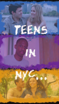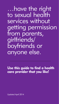…have the right to sexual health services without getting permission from parents,<br>girlfriends/ boyfriends or anyone else.

**Use this guide to find a health care provider that you like!**

Updated April 2014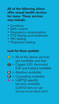# **All of the following clinics offer sexual health services for teens. These services may include:**

- Condoms
- Birth control
- Emergency contraception
- STD testing and treatment
- HIV testing
- Pregnancy testing

# **Look for these symbols:**

- $\frac{1}{\sqrt{1}}$  = All of the above services are available and free
- $\bigcirc$  = Copper IUD, hormonal IUD and implant available
- $\triangle$  = Abortion available
- $\Theta$  = Counseling available
- $\triangle$  = LGBTOI-specific services available (LGBTQI teens can get services at any listed clinic!)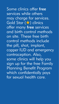Some clinics offer free services while others may charge for services. Gold Star (★) clinics offer many free services and birth control methods on site. These free birth control methods include the pill, shot, implant, copper IUD and emergency contraception. Also, some clinics will help you sign up for the free Family Planning Benefit Program which confidentially pays for sexual health care.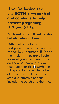# **If you're having sex, use BOTH birth control and condoms to help prevent pregnancy, HIV and STDs.**

**I've heard of the pill and the shot, but what else can I use?**

Birth control methods that best prevent pregnancy are the copper IUD, hormonal IUD and the implant. They are all safe for most young women to use and can be removed at any time. Look for the  $\bigcirc$  symbol in this guide to find a clinic where all three are available. Other safe and effective options include the patch and the ring.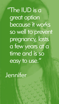"The IUD is a great option because it works so well to prevent pregnancy, lasts a few years at a time and is so easy to use."

**Jennifer**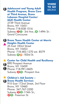**TO GO** BRONX **Adolescent and Young Adult** C **Health Program, Bronx Care at Third Avenue, Bronx Lebanon Hospital Center/ MLK Health Center** 2739 Third Avenue Bronx, NY 10451 Phone:718-838-1016 Subway: **2 5** - 3rd Ave.; **4** -149th St.- Grand Concourse

**WHERE**

# ▲ **Heights Health Center**<br>25 East 183rd Street **Bronx Teens Health Center at Morris** C

25 East 183rd Street Bronx, NY 10453 Phone: 718-483-1270 ext. 8579 Subway: **4 D** -183rd St.

# ★ **Center for Child Health and Resiliency**

<sup>890</sup> Prospect Avenue Bronx, NY 10459 Phone: 718-991-0605 Subway: **2 5** - Prospect Ave.

★ **Children's Aid Society – H** Bronx Health Services 910 East 172nd Street, 3rd Floor Bronx, NY 10460 Phone: 347-767-2200 Subway: **2 5** -174th St.; **28** - Freeman St.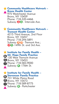# **Community Healthcare Network –** ★ **Bronx Health Center** 975 Westchester Avenue ▲

Bronx, NY 10459 Phone: 718-320-4466 Subway: **2 5** - Intervale Ave.

# ★ Community Healthcare Network -

**Tremont Health Center**<br>4215 Third Avenue, 2nd Floor<br>Bronx, NY 10457 Phone: 718-294-5891 Subway: **B D** - Tremont Ave.; **26** - 149th St. and 3rd Ave.

# **Institute for Family Health – Mt. Hope Family Practice** <sup>130</sup> West Tremont Avenue Bronx, NY <sup>10453</sup> **★ Institute for Family Health -**A

Phone: 718-583-9000 Subway: **4** -176th St. ▲ **B** Bronx, NY 10453

I

**★ Institute for Family Health –** Stevenson **Family Practice**<br>
731 White Plains Road **Bronx, NY 10473** Phone: 718-589-8775 Subway: **6** - Parkchester ▲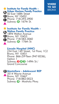### **WHERE TO GO** BRONX

**Institute for Family Health –<br><b>Urban Horizon Family Practice**<br>50 East 168th Street<br>Bronx, NY 10452 Phone: 718-293-3900 Subway: **4** -167th St. **★ Institute for Family Health -B** Bronx, NY 10452 A I

**Institute for Family Health –<br><b>Walton Family Practice**<br>1894 Walton Avenue<br>Bronx, NY 10453 **★ Institute for Family Health -**A

Phone: 718-583-3060 Subway: **4** - 176th St. ▲ **B** Bronx, NY 10453

▲

I

#### **Lincoln Hospital (HHC)**

234 East 149 Street, 1st Floor, 1C2 Bronx, NY 10451 Phone: 866-ZIP-Teen (947-8336), Option <sup>1</sup> Subway: **2 4 5** -149th St./ Grand Concourse

### **Montefiore - Adolescent REP** C

▲ 3514 Wayne Avenue<br>Bronx, NY 10467 Phone: 718-882-0023 Subway: **4** - Mosholu Pkwy.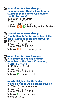# **Montefiore Medical Group – Comprehensive Health Care Center (Member of the Bronx Community Health Network)** <sup>305</sup> East 161st Street Bronx, NY <sup>10451</sup> Phone: 718-579-2500 Subway: **B D 4** -161st St./Yankee Stadium (H) Montefiore Medical Group -

### **Montefiore Medical Group – Family Health Center (Member of the Bronx Community Health Network)** C Bronx, NY 10458 Phone: 718-329-8453 Subway: **B D** - Kingsbridge Rd. **A** Montefiore Medical Group -360 East 193rd Street

### **Montefiore Medical Group – Williamsbridge Family Practice (Member of the Bronx Community Health Network)** 3448 Boston Road C Montefiore Medical Group -

Bronx, NY 10469 Phone: 718-547-6111 Subway: **5** - Gun Hill Rd.

# **Morris Heights Health Center<br><b>Women's Health And Birthing Pavilion**<br>70 West Burnside Avenue<br>Bronx, NY 10453

Phone: 718-716-2229 Subway: **<sup>4</sup>** - Burnside Ave. (Females Only)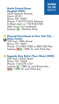

# **North Central Bronx Hospital (HHC)**

<sup>3424</sup> Kossuth Avenue, Room 2D-01 Bronx, NY 10467<br>Phone: 718-519-3333 between 8:30am-4pm or 718-918-5700<br>after hours and weekends<br>Subway: **4** - Mosholu Pkwy.

# **Planned Parenthood of New York City – Bronx Center** <sup>349</sup> East 149th Street Bronx, NY <sup>10451</sup> ★ Planned Parenthood of New York City -A

Phone: 212-965-7000 or 800-230-Plan Subway: **2 5** -149th St. and Third Ave.

# **Segundo Ruiz Belvis (Teen Clinic) (HHC)** ★

<sup>545</sup> East 142nd Street Bronx, NY <sup>10454</sup> Phone: 718-579-1737<br>Subway: 0 -138th St. and Brook Ave.: **26** - 149th St. and Third Ave.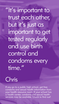"It's important to trust each other, but it's just as important to get tested regularly and use birth control and condoms every time.'

# Chris

If you go to <sup>a</sup> public high school, get free condoms and sexual health information from your health resource room. If your school has <sup>a</sup> health center, condoms and sexual health services may be available. Check to find out!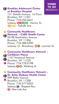### **Brooklyn Adolescent Center** C **at Brooklyn Hospital** 121 Dekalb Avenue, 1st Floor Brooklyn, NY 11201 Phone: 718-250-6641 Subway: **2000** - Nevins St.; **BOR** - Dekalb Ave.



# C **Network – CABS Health Center** C **Community Healthcare**

★

94-98 Manhattan Avenue Brooklyn, NY 11206 Phone: 718-388-0390 Subway: **G** - Broadway; **M J** - Lorimer St.

★ Community Healt<br>**① Caribbean House** ▲ Phone: 718-778-0198 **Community Healthcare Network –** 1167 Nostrand Avenue Brooklyn, NY 11225 Subway: **2 5** - Winthrop St.

**Community Healthcare Network –** ★ **Dr. Betty Shabazz Health Center** 999 Blake Avenue CBrooklyn, NY 11208 Phone: 718-277-8303 Subway: **C** - Shepard Ave.; **3** - New Lots Ave.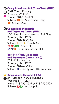**Coney Island Hospital (Teen Clinic) (HHC)** A **Case of Command Parkway**<br>President AIX 11225 Brooklyn, NY 11235 Phone: 718-616-3191 Subway: **B Q** - Sheepshead Bay; **F** - Stillwell Ave.

**Cumberland Diagnostic** C **and Treatment Center (HHC)** 100 North Portland Avenue, 2nd Floor Brooklyn, NY 11205 Phone: 718-388-5889 Subway: **BOB** - Dekalb Ave.; **2305** - Nevins St.; **ACF** - to Jay St./Borough Hall

### **East New York Diagnostic and Treatment Center (HHC)**

2094 Pitkin Avenue Brooklyn, NY 11207 Phone: 718-240-0460 Subway: **C** - Liberty Ave.; **L** - Sutter Ave.

# ★ **Kings County Hospital (HHC)**

**D** 541 Clarkson Avenue, Building E Brooklyn, NY 11203 Phone: 718-245-3502 or 718-245-3503 Subway: **2 5** - Winthrop St.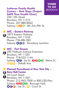

### **Lutheran Family Health Centers – Park Slope (Project SAFE Teen Health Clinic)**

220 13th Street Brooklyn, NY 11215 Phone: 347-880-8042 Subway: **RFG** - 4th Ave./9th St.

★ MI**C – Eastern Parkway**<br>← 1873 Eastern Parkway **MIC – Eastern Parkway** Brooklyn, NY 11233 Phone: 718-498-1001 Subway: **ACL** - Broadway Junction

**MIC – Fort Greene** ★ MIC – Fort Greene<br>A 295 Flatbush Avenue Extension Brooklyn, NY 11201 Phone: 718-522-1144 Subway: **A C** - Jay St.; **2345** - Nevins St.; **QRI**: Dekalb Ave. C

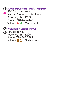### C **SUNY Downstate - HEAT Program**

▲ 470 Clarkson Avenue,<br>Nursing Station 41, 4th Floor, Brooklyn, NY 11203 Phone: 718-467-4446 Subway: **2 5** - Winthrop St.

A **Woodhull Hospital (HHC)**

**B** 760 Broadway Brooklyn, NY<sup>11206</sup> Phone: 718-388-5889 Subway:  $\bigcirc$  M<sup>2</sup> - Flushing Ave.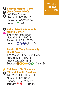



Phone: 212-562-1864 Subway: **6** -28th St.



### **Callen-Lorde Community** C C **Health Center**

356 West 18th Street New York, NY 10011 Phone: 212-271-7200 Subway: **AC E L** -14 St.

**Charles B. Wang Community Health Center**

125 Walker Street, 2nd Floor New York, NY 10013 Phone: 212-226-3888 Subway: **DIRQOF46** - Canal St.



**Children's Aid Society –** ★

**Milbank Health Services** C14-32 West 118th Street New York, NY 10026 Phone: 212-369-8339 Subway: **2 3** - 116th St.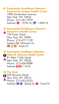### ★ **Community Healthcare Network – Community League Health Center**

1996 Amsterdam Avenue New York, NY 10032 Phone: 212-781-7979 Subway: **1** - 157th St.; **A** - 145th St.

# ★ **Community Healthcare Network –**

▲ **Downtown Health Center** 150 Essex Street New York, NY 10002 Phone: 212-477-1120 Subway: **F** - Delancey St.; **D M**  $\Omega$  - Essex St.



### **The Door**

C

**★ The Door**<br>A 555 Broome Street New York, NY 10013 Phone: 212-453-0222 Subway: **C E** - Spring St.; **1** - Canal St.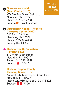### MANHATTAN **Gouverneur Health** C **(Teen Clinic) (HHC)**

227 Madison Street, 3rd Floor New York, NY 10002 Phone: 212-238-7208 Subway: **F** - East Broadway



#### **Gouverneur Health – Roberto** C**Clemente Center (HHC)**

540 East 13th Street New York, NY 10009 Phone: 212-387-7400 Subway: **L** - 1st Ave.

#### ▲ Harlem Health Promotion **– Project STAY**

610 West 158th Street New York, NY 10032 Phone: 646-319-4998 Subway: **1** -157th St.

### **Harlem Hospital Family Planning Clinic (HHC)**

46 West 137th Street, RHB 2nd Floor New York, NY 10037 Phone: 212-939-8275 or 212-939-8422 Subway: **2 3** -135th St.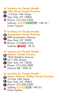★ **Institute for Family Health –** ▲ Phone: 212-253-1830 A **13th Street Family Practice** 113 East 13th Street<br>New York, NY 10003 Subway: **NOR0500** - 14th St./ Union Square

## ★ **Institute for Family Health –** A **Amsterdam Family Practice**

▲ Phone: 212-865-4104 1690 Amsterdam Avenue<br>New York, NY 10025 Subway: **128** - 96 St.

★ **Institute for Family Health –** ▲ Prione: 212-423-4301<br>Subway: **4** -125th St. A **Harlem Family Practice** 1824 Madison Avenue New York, NY 10035  $\Theta$  (at 119th Street) Phone: 212-423-4500

★ **Institute for Family Health –** ■ Subway: **NOBO0** -14th St./<br>
Union Square A **Sidney Hillman Phillips Family Practice** 16 East 16th Street Phone: 212-206-5200 **D** New York, NY 10003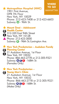# **Metropolitan Hospital (HHC)**<br>1901 First Avenue



1901 First Avenue, OPB 7th Floor New York, NY 10029 Phone: 212-423-7408 or 212-423-6603 Subway: **6** - 96th St.

**Mount Sinai – Adolescent** ★ **Health Center**<br>2012-320 East 94th Street New York, NY 10128 ▲ Phone: 212-423-3000 Subway: **6** - 96th St./Lexington Ave.



★ **New York Presbyterian – Audubon Family**

1 21 Audubon Avenue, 1st Floor<br>• New York, NY 10032 C **Planning Center** Phone: 866-463-2778 or 212-305-9321 Subway: **AC1** -168th St. (Females Only)



★ **New York Presbyterian –**

**Foung Men's Clinic**<br>
21 Audubon Avenue, 1st Floor New York, NY 10032 Phone: 866-463-2778 or 212-305-9321 Subway:  $\textcircled{9}\textcircled{1}$  - 168th St. (Males Only)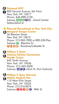## A **Parkmed NYC**

800 Second Avenue, 6th Floor New York, NY 10017 Phone: 646-898-2100 Subway: **4567S** - Grand Central Station/42nd St.

## **Planned Parenthood of New York City –** ★ **Margaret Sanger Center** A

26 Bleecker Street New York, NY 10012 Phone: 212-965-7000 or 800-230-Plan Subway: **6** - Bleecker St.; **GMBD** - Broadway/Lafayette St.

A **William F. Ryan/**

### **Chelsea-Clinton Community**<br> **Wealth Contor Health Center**

645 Tenth Avenue New York, NY 10036 Phone: 212-265-4500 Subway: **A C E** -42nd St.-Port Authority

# A **William F. Ryan Network** C **Mobile Medical Van**

110 West 97th Street New York, NY 10025 Phone: 212-316-8374 Subway: **123BC** - 96th St.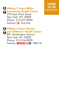**A William F. Ryan-NENA**<br> **Community Health Center** William F. Ryan-NENA

279 East Third Street New York, NY 10009 Phone: 212-477-8500 Subway: **B** - 2nd Ave.



**William F. Ryan Women** A **and Children's Health Center**<br>
ROJ Amstordam Avenue 801 Amsterdam Avenue New York, NY 10025 Phone: 212-316-8300 Subway: **0266** - 96th St.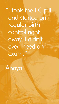"I took the EC pill and started on regular birth control right away. I didn't even need an exam."

Anaya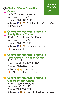



147-32 Jamaica Avenue Jamaica, NY 11435 Phone: 718-786-5000 Subway: **ADF** - Sutphin Blvd./Archer Ave. (Females Only)



# **Community Healthcare Network –** ★ **Family Health Center**<br>90-04 161st Street, 5th Floor

Jamaica, NY 11432 Phone: 718-523-2123 Subway: **BDA** - Jamaica Center; **B** - Parsons Blvd.

### **Community Healthcare Network –** ★ **Long Island City Health Center**

36-11 21st Street Long Island City, NY 11106 Phone: 718-482-7772 Subway: **N Q** -36th Ave.; **B** - 21st St.-Oueensbridge

### **Community Healthcare Network –** ★ **Queens Health Center** 97-04 Sutphin Boulevard Jamaica, NY 11435 Phone: 718-657-7088 Subway: **E J Z** - Sutphin Blvd./Archer Ave.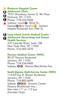



410 Lakeville Road, Suite 108 New Hyde Park, NY 11042 Phone: 516-465-3270

#### **Parsons Medical Center (HHC)**

90-37 Parsons Boulevard Jamaica, NY 11432 Phone: 718-334-6400 Subway:  $\bigoplus$  **D** - Parsons Blvd./Archer Ave.

### **South Queens Multi-Service Center (HHC)**

114-02 Guy R. Brewer Boulevard Jamaica, NY 11434 Phone: 718-883-6699 Subway: **QO** <sup>2</sup> - Jamaica Center-Parsons Blvd/Archer Ave.; then take 111 or 113 bus (Females Only)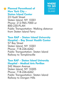

★ Planned Parenthood of STATEN<br>
New York City – **New York City – Staten Island Center**

23 Hyatt Street Staten Island, NY 10301 Phone: 212-965-7000 or 800-230-PLAN Public Transportation: Walking distance from Staten Island Ferry

### **Teen RAP – Staten Island University Hospital – Bay Street Health Center**

57 Bay Street Staten Island, NY 10301 Phone: 718-226-6262 Public Transportation: Staten Island Railway to Tompkinsville

### **Teen RAP – Staten Island University Hospital – Medical Arts Pavilion**

242 Mason Avenue Staten Island, NY 10305 Phone: 718-226-6262 Public Transportation: Staten Island Railway to Dongan Hills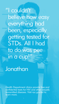"I couldn't believe how easy everything had been, especially getting tested for STDs. All I had to do was pee in a cup!"

**Jonathan** 

Health Department clinics provide free and confidential tests for HIV and other sexually transmitted diseases. Visit nyc.gov/std to learn more.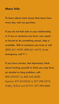# **More Info**

To learn about more issues that teens face every day, visit nyc.gov/teen.

If you do not feel safe in your relationship, or if you or someone you know was raped or forced to do something sexual, help is available. Talk to someone you trust or call (800) 621-HOPE (800-621-4673). In an emergency, call 911.

If you have worries, feel depressed, think about hurting yourself or think you may have an alcohol or drug problem, call: 800-LIFENET (or 800-543-3638) Español: 877-AYUDESE (o 877-298-3373) 普通話*,* 廣東話 *and* 한국어*:* 877-990-8585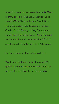Special thanks to the teens that make Teens in NYC possible: The Bronx District Public Health Office Youth Advisory Board, Bronx Teens Connection Youth Leadership Team, Children's Aid Society's JAM, Community Healthcare Network's Teens PACT, National Institute for Reproductive Health's TORCH and Planned Parenthood's Teen Advocates

For free copies of this guide, call 311.

Want to be included in the Teens in NYC guide? Search adolescent sexual health on nyc.gov to learn how to become eligible.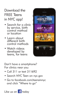# Download the FREE Teens in NYC app!

- Search for <sup>a</sup> clinic by service, birth control method or location
- Learn about control methods
- Watch videos<br>developed by teens, for teens



Don't have a smartphone? For clinics near you:

- Call 311 or text 311692
- Search NYC Teen on nyc.gov
- Go to facebook.com/teensinnyc and click "Where to go"